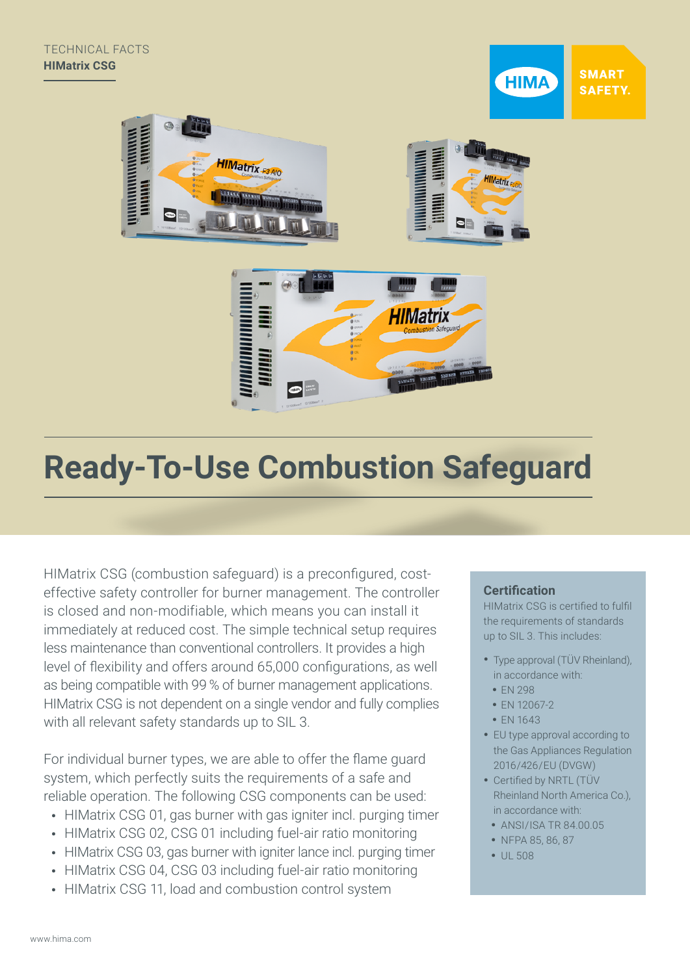**SMART HIMA SAFETY.** 





# **Ready-To-Use Combustion Safeguard**

HIMatrix CSG (combustion safeguard) is a preconfigured, costeffective safety controller for burner management. The controller is closed and non-modifiable, which means you can install it immediately at reduced cost. The simple technical setup requires less maintenance than conventional controllers. It provides a high level of flexibility and offers around 65,000 configurations, as well as being compatible with 99 % of burner management applications. HIMatrix CSG is not dependent on a single vendor and fully complies with all relevant safety standards up to SIL 3.

For individual burner types, we are able to offer the flame guard system, which perfectly suits the requirements of a safe and reliable operation. The following CSG components can be used:

- HIMatrix CSG 01, gas burner with gas igniter incl. purging timer
- HIMatrix CSG 02, CSG 01 including fuel-air ratio monitoring
- HIMatrix CSG 03, gas burner with igniter lance incl. purging timer
- HIMatrix CSG 04, CSG 03 including fuel-air ratio monitoring
- HIMatrix CSG 11, load and combustion control system

#### **Certification**

HIMatrix CSG is certified to fulfil the requirements of standards up to SIL 3. This includes:

- Type approval (TÜV Rheinland), in accordance with:
	- EN 298
- FN 12067-2
- EN 1643
- EU type approval according to the Gas Appliances Regulation 2016/426/EU (DVGW)
- Certified by NRTL (TÜV Rheinland North America Co.), in accordance with:
	- ANSI/ISA TR 84.00.05
	- NFPA 85, 86, 87
	- UL 508